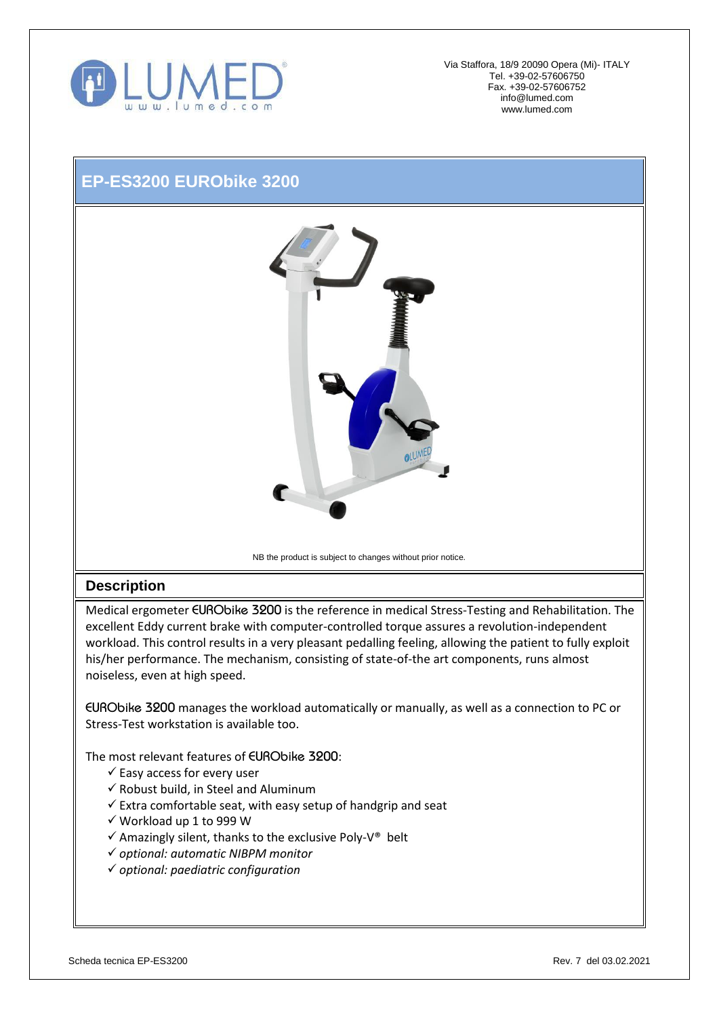

Via Staffora, 18/9 20090 Opera (Mi)- ITALY Tel. +39-02-57606750 Fax. +39-02-57606752 [info@lumed.com](mailto:lumed@libero.it) [www.lumed.com](http://www.lumed.com/)

## **EP-ES3200 EURObike 3200**



NB the product is subject to changes without prior notice*.*

## **Description**

Medical ergometer *EURObike 3200* is the reference in medical Stress-Testing and Rehabilitation. The excellent Eddy current brake with computer-controlled torque assures a revolution-independent workload. This control results in a very pleasant pedalling feeling, allowing the patient to fully exploit his/her performance. The mechanism, consisting of state-of-the art components, runs almost noiseless, even at high speed.

*EURObike 3200* manages the workload automatically or manually, as well as a connection to PC or Stress-Test workstation is available too.

The most relevant features of *EURObike 3200*:

- $\checkmark$  Easy access for every user
- $\checkmark$  Robust build, in Steel and Aluminum
- $\checkmark$  Extra comfortable seat, with easy setup of handgrip and seat
- $\checkmark$  Workload up 1 to 999 W
- $\checkmark$  Amazingly silent, thanks to the exclusive Poly-V® belt
- *optional: automatic NIBPM monitor*
- *optional: paediatric configuration*